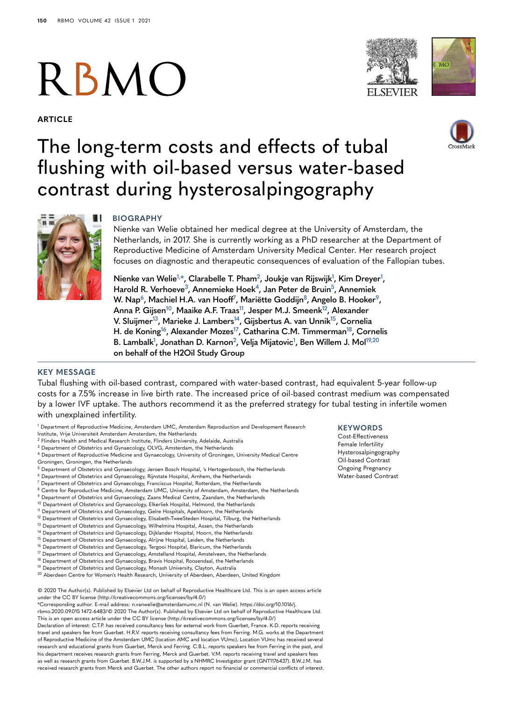# RBMO

**ARTICLE**





## The long-term costs and effects of tubal flushing with oil-based versus water-based contrast during hysterosalpingography



**BIOGRAPHY**

Nienke van Welie obtained her medical degree at the University of Amsterdam, the Netherlands, in 2017. She is currently working as a PhD researcher at the Department of Reproductive Medicine of Amsterdam University Medical Center. Her research project focuses on diagnostic and therapeutic consequences of evaluation of the Fallopian tubes.

 $\mathbf{N}$ ienke van Welie<sup>1,[\\*](#page-0-1)</sup>, Clarabelle T. Pham<sup>2</sup>, Joukje van Rijswijk<sup>1</sup>, Kim Dreyer<sup>1</sup>, **Harold R. Verhoev[e3,](#page-0-3) Annemieke Hoe[k4](#page-0-4), Jan Peter de Brui[n5,](#page-0-5) Annemiek**   $W$ . Nap $^6$ , Machiel H.A. van Hooff<sup>7</sup>, Mariëtte Goddijn $^8$ , Angelo B. Hooker $^9$  $^9$ , **Anna P. Gijse[n10,](#page-0-10) Maaike A.F. Traa[s11,](#page-0-11) Jesper M.J. Smeen[k12,](#page-0-12) Alexander V. Sluijme[r13,](#page-0-13) Marieke J. Lamber[s14](#page-0-14), Gijsbertus A. van Unni[k15](#page-0-15), Cornelia H. de Konin[g16](#page-0-16), Alexander Mozes[17](#page-0-17), Catharina C.M. Timmerman[18,](#page-0-18) Cornelis B. Lambal[k1](#page-0-0) , Jonathan D. Karno[n2,](#page-0-2) Velja Mijatovi[c1](#page-0-0) , Ben Willem J. Mol[19,](#page-0-19)[20](#page-0-20) on behalf of the H2Oil Study Group**

### **KEY MESSAGE**

Tubal flushing with oil-based contrast, compared with water-based contrast, had equivalent 5-year follow-up costs for a 7.5% increase in live birth rate. The increased price of oil-based contrast medium was compensated by a lower IVF uptake. The authors recommend it as the preferred strategy for tubal testing in infertile women with unexplained infertility.

- <span id="page-0-0"></span><sup>1</sup> Department of Reproductive Medicine, Amsterdam UMC, Amsterdam Reproduction and Development Research
- Institute, Vrije Universiteit Amsterdam Amsterdam, the Netherlands
- <span id="page-0-2"></span><sup>2</sup> Flinders Health and Medical Research Institute, Flinders University, Adelaide, Australia
- <span id="page-0-3"></span><sup>3</sup> Department of Obstetrics and Gynaecology, OLVG, Amsterdam, the Netherlands
- <span id="page-0-4"></span><sup>4</sup> Department of Reproductive Medicine and Gynaecology, University of Groningen, University Medical Centre Groningen, Groningen, the Netherlands
- <span id="page-0-5"></span><sup>5</sup> Department of Obstetrics and Gynaecology, Jeroen Bosch Hospital, 's Hertogenbosch, the Netherlands
- <span id="page-0-6"></span><sup>6</sup> Department of Obstetrics and Gynaecology, Rijnstate Hospital, Arnhem, the Netherlands
- <span id="page-0-7"></span><sup>7</sup> Department of Obstetrics and Gynaecology, Franciscus Hospital, Rotterdam, the Netherlands
- <span id="page-0-8"></span>8 Centre for Reproductive Medicine, Amsterdam UMC, University of Amsterdam, Amsterdam, the Netherlands
- <span id="page-0-9"></span><sup>9</sup> Department of Obstetrics and Gynaecology, Zaans Medical Centre, Zaandam, the Netherlands
- <span id="page-0-11"></span><span id="page-0-10"></span><sup>10</sup> Department of Obstetrics and Gynaecology, Elkerliek Hospital, Helmond, the Netherlands <sup>11</sup> Department of Obstetrics and Gynaecology, Gelre Hospitals, Apeldoorn, the Netherlands
- <span id="page-0-12"></span><sup>12</sup> Department of Obstetrics and Gynaecology, Elisabeth-TweeSteden Hospital, Tilburg, the Netherlands
- <span id="page-0-13"></span><sup>13</sup> Department of Obstetrics and Gynaecology, Wilhelmina Hospital, Assen, the Netherlands
- <span id="page-0-14"></span><sup>14</sup> Department of Obstetrics and Gynaecology, Dijklander Hospital, Hoorn, the Netherlands
- <span id="page-0-15"></span><sup>15</sup> Department of Obstetrics and Gynaecology, Alrijne Hospital, Leiden, the Netherlands
- <span id="page-0-16"></span><sup>16</sup> Department of Obstetrics and Gynaecology, Tergooi Hospital, Blaricum, the Netherlands
- <span id="page-0-17"></span><sup>17</sup> Department of Obstetrics and Gynaecology, Amstelland Hospital, Amstelveen, the Netherlands
- <span id="page-0-19"></span><span id="page-0-18"></span><sup>18</sup> Department of Obstetrics and Gynaecology, Bravis Hospital, Roosendaal, the Netherlands <sup>19</sup> Department of Obstetrics and Gynaecology, Monash University, Clayton, Australia
- <span id="page-0-20"></span><sup>20</sup> Aberdeen Centre for Women's Health Research, University of Aberdeen, Aberdeen, United Kingdom

© 2020 The Author(s). Published by Elsevier Ltd on behalf of Reproductive Healthcare Ltd. This is an open access article under the CC BY license (http://creativecommons.org/licenses/by/4.0/)

<span id="page-0-1"></span>\*Corresponding author. E-mail address: n.vanwelie@amsterdamumc.nl (N. van Welie). https://doi.org/10.1016/j.

rbmo.2020.09.015 1472-6483/© 2020 The Author(s). Published by Elsevier Ltd on behalf of Reproductive Healthcare Ltd. This is an open access article under the CC BY license (http://creativecommons.org/licenses/by/4.0/)

Declaration of interest: C.T.P. has received consultancy fees for external work from Guerbet, France. K.D. reports receiving travel and speakers fee from Guerbet. H.R.V. reports receiving consultancy fees from Ferring. M.G. works at the Department of Reproductive Medicine of the Amsterdam UMC (location AMC and location VUmc). Location VUmc has received several research and educational grants from Guerbet, Merck and Ferring. C.B.L. reports speakers fee from Ferring in the past, and his department receives research grants from Ferring, Merck and Guerbet. V.M. reports receiving travel and speakers fees as well as research grants from Guerbet. B.W.J.M. is supported by a NHMRC Investigator grant (GNT1176437). B.W.J.M. has received research grants from Merck and Guerbet. The other authors report no financial or commercial conflicts of interest.

#### **KEYWORDS**

Cost-Effectiveness Female Infertility Hysterosalpingography Oil-based Contrast Ongoing Pregnancy Water-based Contrast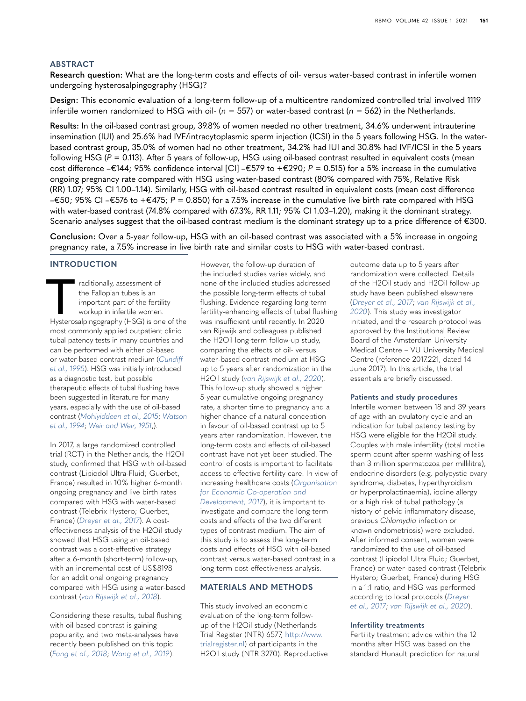#### **ABSTRACT**

**Research question:** What are the long-term costs and effects of oil- versus water-based contrast in infertile women undergoing hysterosalpingography (HSG)?

**Design:** This economic evaluation of a long-term follow-up of a multicentre randomized controlled trial involved 1119 infertile women randomized to HSG with oil- (*n* = 557) or water-based contrast (*n* = 562) in the Netherlands.

**Results:** In the oil-based contrast group, 39.8% of women needed no other treatment, 34.6% underwent intrauterine insemination (IUI) and 25.6% had IVF/intracytoplasmic sperm injection (ICSI) in the 5 years following HSG. In the waterbased contrast group, 35.0% of women had no other treatment, 34.2% had IUI and 30.8% had IVF/ICSI in the 5 years following HSG (*P* = 0.113). After 5 years of follow-up, HSG using oil-based contrast resulted in equivalent costs (mean cost difference –€144; 95% confidence interval [CI] –€579 to +€290; *P* = 0.515) for a 5% increase in the cumulative ongoing pregnancy rate compared with HSG using water-based contrast (80% compared with 75%, Relative Risk (RR) 1.07; 95% CI 1.00–1.14). Similarly, HSG with oil-based contrast resulted in equivalent costs (mean cost difference –€50; 95% CI –€576 to +€475; *P* = 0.850) for a 7.5% increase in the cumulative live birth rate compared with HSG with water-based contrast (74.8% compared with 67.3%, RR 1.11; 95% CI 1.03–1.20), making it the dominant strategy. Scenario analyses suggest that the oil-based contrast medium is the dominant strategy up to a price difference of €300.

**Conclusion:** Over a 5-year follow-up, HSG with an oil-based contrast was associated with a 5% increase in ongoing pregnancy rate, a 7.5% increase in live birth rate and similar costs to HSG with water-based contrast.

#### **INTRODUCTION**

raditionally, assessment of<br>the Fallopian tubes is an<br>important part of the fertility<br>workup in infertile women.<br>Hysterosalpingography (HSG) is one of the the Fallopian tubes is an important part of the fertility workup in infertile women. most commonly applied outpatient clinic tubal patency tests in many countries and can be performed with either oil-based or water-based contrast medium (*[Cundiff](#page-6-0)  [et al., 1995](#page-6-0)*). HSG was initially introduced as a diagnostic test, but possible therapeutic effects of tubal flushing have been suggested in literature for many years, especially with the use of oil-based contrast (*[Mohiyiddeen et al., 2015](#page-6-1)*; *[Watson](#page-7-0)  [et al., 1994](#page-7-0)*; *[Weir and Weir, 1951](#page-7-1)*,).

In 2017, a large randomized controlled trial (RCT) in the Netherlands, the H2Oil study, confirmed that HSG with oil-based contrast (Lipiodol Ultra-Fluid; Guerbet, France) resulted in 10% higher 6-month ongoing pregnancy and live birth rates compared with HSG with water-based contrast (Telebrix Hystero; Guerbet, France) (*[Dreyer et al., 2017](#page-6-2)*). A costeffectiveness analysis of the H2Oil study showed that HSG using an oil-based contrast was a cost-effective strategy after a 6-month (short-term) follow-up, with an incremental cost of US\$8198 for an additional ongoing pregnancy compared with HSG using a water-based contrast (*[van Rijswijk et al., 2018](#page-7-2)*).

Considering these results, tubal flushing with oil-based contrast is gaining popularity, and two meta-analyses have recently been published on this topic (*[Fang et al., 2018](#page-6-3)*; *[Wang et al., 2019](#page-7-3)*).

However, the follow-up duration of the included studies varies widely, and none of the included studies addressed the possible long-term effects of tubal flushing. Evidence regarding long-term fertility-enhancing effects of tubal flushing was insufficient until recently. In 2020 van Rijswijk and colleagues published the H2Oil long-term follow-up study, comparing the effects of oil- versus water-based contrast medium at HSG up to 5 years after randomization in the H2Oil study (*[van Rijswijk et al., 2020](#page-7-4)*). This follow-up study showed a higher 5-year cumulative ongoing pregnancy rate, a shorter time to pregnancy and a higher chance of a natural conception in favour of oil-based contrast up to 5 years after randomization. However, the long-term costs and effects of oil-based contrast have not yet been studied. The control of costs is important to facilitate access to effective fertility care. In view of increasing healthcare costs (*[Organisation](#page-7-5)  [for Economic Co-operation and](#page-7-5)  [Development, 2017](#page-7-5)*), it is important to investigate and compare the long-term costs and effects of the two different types of contrast medium. The aim of this study is to assess the long-term costs and effects of HSG with oil-based contrast versus water-based contrast in a long-term cost-effectiveness analysis.

#### **MATERIALS AND METHODS**

This study involved an economic evaluation of the long-term followup of the H2Oil study (Netherlands Trial Register (NTR) 6577, [http://www.](http://www.trialregister.nl) [trialregister.nl\)](http://www.trialregister.nl) of participants in the H2Oil study (NTR 3270). Reproductive outcome data up to 5 years after randomization were collected. Details of the H2Oil study and H2Oil follow-up study have been published elsewhere (*[Dreyer et al., 2017](#page-6-2)*; *[van Rijswijk et al.,](#page-7-4)  [2020](#page-7-4)*). This study was investigator initiated, and the research protocol was approved by the Institutional Review Board of the Amsterdam University Medical Centre – VU University Medical Centre (reference 2017.221, dated 14 June 2017). In this article, the trial essentials are briefly discussed.

#### **Patients and study procedures**

Infertile women between 18 and 39 years of age with an ovulatory cycle and an indication for tubal patency testing by HSG were eligible for the H2Oil study. Couples with male infertility (total motile sperm count after sperm washing of less than 3 million spermatozoa per millilitre), endocrine disorders (e.g. polycystic ovary syndrome, diabetes, hyperthyroidism or hyperprolactinaemia), iodine allergy or a high risk of tubal pathology (a history of pelvic inflammatory disease, previous *Chlamydia* infection or known endometriosis) were excluded. After informed consent, women were randomized to the use of oil-based contrast (Lipiodol Ultra Fluid; Guerbet, France) or water-based contrast (Telebrix Hystero; Guerbet, France) during HSG in a 1:1 ratio, and HSG was performed according to local protocols (*[Dreyer](#page-6-2)  [et al., 2017](#page-6-2)*; *[van Rijswijk et al., 2020](#page-7-4)*).

#### **Infertility treatments**

Fertility treatment advice within the 12 months after HSG was based on the standard Hunault prediction for natural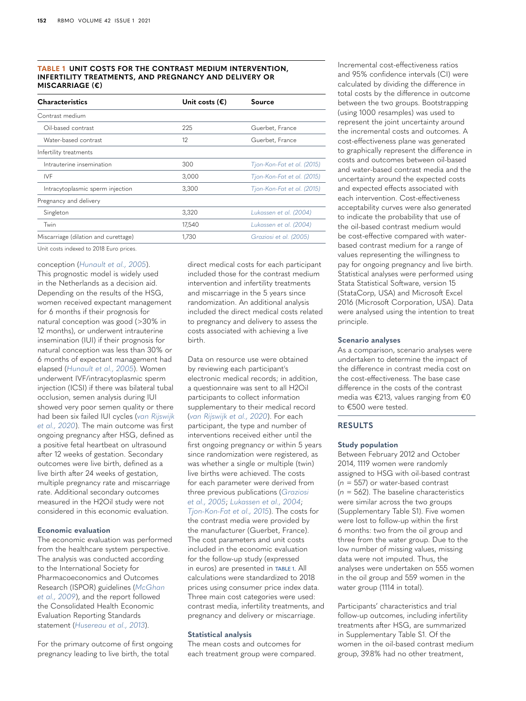#### <span id="page-2-0"></span>**TABLE 1 UNIT COSTS FOR THE CONTRAST MEDIUM INTERVENTION, INFERTILITY TREATMENTS, AND PREGNANCY AND DELIVERY OR MISCARRIAGE (€)**

| Unit costs $(\epsilon)$ | <b>Source</b>              |
|-------------------------|----------------------------|
|                         |                            |
| 225                     | Guerbet, France            |
| 12                      | Guerbet, France            |
|                         |                            |
| 300                     | Tjon-Kon-Fat et al. (2015) |
| 3,000                   | Tjon-Kon-Fat et al. (2015) |
| 3,300                   | Tjon-Kon-Fat et al. (2015) |
|                         |                            |
| 3,320                   | Lukassen et al. (2004)     |
| 17,540                  | Lukassen et al. (2004)     |
| 1,730                   | Graziosi et al. (2005)     |
|                         |                            |

Unit costs indexed to 2018 Euro prices.

#### conception (*[Hunault et al., 2005](#page-6-4)*).

This prognostic model is widely used in the Netherlands as a decision aid. Depending on the results of the HSG, women received expectant management for 6 months if their prognosis for natural conception was good (>30% in 12 months), or underwent intrauterine insemination (IUI) if their prognosis for natural conception was less than 30% or 6 months of expectant management had elapsed (*[Hunault et al., 2005](#page-6-4)*). Women underwent IVF/intracytoplasmic sperm injection (ICSI) if there was bilateral tubal occlusion, semen analysis during IUI showed very poor semen quality or there had been six failed IUI cycles (*[van Rijswijk](#page-7-4)  [et al., 2020](#page-7-4)*). The main outcome was first ongoing pregnancy after HSG, defined as a positive fetal heartbeat on ultrasound after 12 weeks of gestation. Secondary outcomes were live birth, defined as a live birth after 24 weeks of gestation, multiple pregnancy rate and miscarriage rate. Additional secondary outcomes measured in the H2Oil study were not considered in this economic evaluation.

#### **Economic evaluation**

The economic evaluation was performed from the healthcare system perspective. The analysis was conducted according to the International Society for Pharmacoeconomics and Outcomes Research (ISPOR) guidelines (*[McGhan](#page-6-5)  [et al., 2009](#page-6-5)*), and the report followed the Consolidated Health Economic Evaluation Reporting Standards statement (*[Husereau et al., 2013](#page-6-6)*).

For the primary outcome of first ongoing pregnancy leading to live birth, the total

direct medical costs for each participant included those for the contrast medium intervention and infertility treatments and miscarriage in the 5 years since randomization. An additional analysis included the direct medical costs related to pregnancy and delivery to assess the costs associated with achieving a live birth.

Data on resource use were obtained by reviewing each participant's electronic medical records; in addition, a questionnaire was sent to all H2Oil participants to collect information supplementary to their medical record (*[van Rijswijk et al., 2020](#page-7-4)*). For each participant, the type and number of interventions received either until the first ongoing pregnancy or within 5 years since randomization were registered, as was whether a single or multiple (twin) live births were achieved. The costs for each parameter were derived from three previous publications (*[Graziosi](#page-6-7)  [et al., 2005](#page-6-7)*; *[Lukassen et al., 2004](#page-6-8)*; *[Tjon-Kon-Fat et al., 2015](#page-7-6)*). The costs for the contrast media were provided by the manufacturer (Guerbet, France). The cost parameters and unit costs included in the economic evaluation for the follow-up study (expressed in euros) are presented in **[TABLE 1](#page-2-0)**. All calculations were standardized to 2018 prices using consumer price index data. Three main cost categories were used: contrast media, infertility treatments, and pregnancy and delivery or miscarriage.

#### **Statistical analysis**

The mean costs and outcomes for each treatment group were compared.

Incremental cost-effectiveness ratios and 95% confidence intervals (CI) were calculated by dividing the difference in total costs by the difference in outcome between the two groups. Bootstrapping (using 1000 resamples) was used to represent the joint uncertainty around the incremental costs and outcomes. A cost-effectiveness plane was generated to graphically represent the difference in costs and outcomes between oil-based and water-based contrast media and the uncertainty around the expected costs and expected effects associated with each intervention. Cost-effectiveness acceptability curves were also generated to indicate the probability that use of the oil-based contrast medium would be cost-effective compared with waterbased contrast medium for a range of values representing the willingness to pay for ongoing pregnancy and live birth. Statistical analyses were performed using Stata Statistical Software, version 15 (StataCorp, USA) and Microsoft Excel 2016 (Microsoft Corporation, USA). Data were analysed using the intention to treat principle.

#### **Scenario analyses**

As a comparison, scenario analyses were undertaken to determine the impact of the difference in contrast media cost on the cost-effectiveness. The base case difference in the costs of the contrast media was €213, values ranging from €0 to €500 were tested.

#### **RESULTS**

#### **Study population**

Between February 2012 and October 2014, 1119 women were randomly assigned to HSG with oil-based contrast (*n* = 557) or water-based contrast (*n* = 562). The baseline characteristics were similar across the two groups (Supplementary Table S1). Five women were lost to follow-up within the first 6 months: two from the oil group and three from the water group. Due to the low number of missing values, missing data were not imputed. Thus, the analyses were undertaken on 555 women in the oil group and 559 women in the water group (1114 in total).

Participants' characteristics and trial follow-up outcomes, including infertility treatments after HSG, are summarized in Supplementary Table S1. Of the women in the oil-based contrast medium group, 39.8% had no other treatment,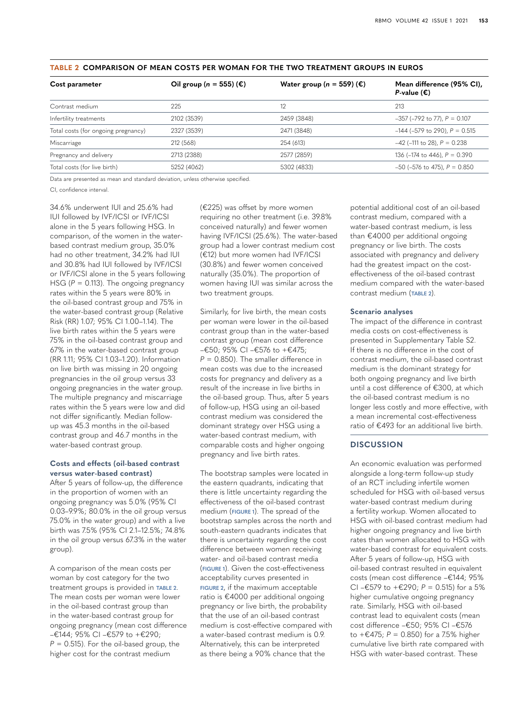| Cost parameter                      | Oil group ( $n = 555$ ) ( $\epsilon$ ) | Water group ( $n = 559$ ) ( $\epsilon$ ) | Mean difference (95% CI),<br>P-value $(\epsilon)$ |
|-------------------------------------|----------------------------------------|------------------------------------------|---------------------------------------------------|
| Contrast medium                     | 225                                    | 12                                       | 213                                               |
| Infertility treatments              | 2102 (3539)                            | 2459 (3848)                              | $-357$ ( $-792$ to 77), $P = 0.107$               |
| Total costs (for ongoing pregnancy) | 2327 (3539)                            | 2471 (3848)                              | $-144$ ( $-579$ to 290), $P = 0.515$              |
| Miscarriage                         | 212 (568)                              | 254 (613)                                | $-42$ (-111 to 28), $P = 0.238$                   |
| Pregnancy and delivery              | 2713 (2388)                            | 2577 (2859)                              | 136 ( $-174$ to 446), $P = 0.390$                 |
| Total costs (for live birth)        | 5252 (4062)                            | 5302 (4833)                              | $-50$ ( $-576$ to 475), $P = 0.850$               |
|                                     |                                        |                                          |                                                   |

#### <span id="page-3-0"></span>**TABLE 2 COMPARISON OF MEAN COSTS PER WOMAN FOR THE TWO TREATMENT GROUPS IN EUROS**

Data are presented as mean and standard deviation, unless otherwise specified.

CI, confidence interval.

34.6% underwent IUI and 25.6% had IUI followed by IVF/ICSI or IVF/ICSI alone in the 5 years following HSG. In comparison, of the women in the waterbased contrast medium group, 35.0% had no other treatment, 34.2% had IUI and 30.8% had IUI followed by IVF/ICSI or IVF/ICSI alone in the 5 years following HSG  $(P = 0.113)$ . The ongoing pregnancy rates within the 5 years were 80% in the oil-based contrast group and 75% in the water-based contrast group (Relative Risk (RR) 1.07; 95% CI 1.00–1.14). The live birth rates within the 5 years were 75% in the oil-based contrast group and 67% in the water-based contrast group (RR 1.11; 95% CI 1.03–1.20). Information on live birth was missing in 20 ongoing pregnancies in the oil group versus 33 ongoing pregnancies in the water group. The multiple pregnancy and miscarriage rates within the 5 years were low and did not differ significantly. Median followup was 45.3 months in the oil-based contrast group and 46.7 months in the water-based contrast group.

#### **Costs and effects (oil-based contrast versus water-based contrast)**

After 5 years of follow-up, the difference in the proportion of women with an ongoing pregnancy was 5.0% (95% CI 0.03–9.9%; 80.0% in the oil group versus 75.0% in the water group) and with a live birth was 7.5% (95% CI 2.1–12.5%; 74.8% in the oil group versus 67.3% in the water group).

A comparison of the mean costs per woman by cost category for the two treatment groups is provided in **[TABLE 2](#page-3-0)**. The mean costs per woman were lower in the oil-based contrast group than in the water-based contrast group for ongoing pregnancy (mean cost difference –€144; 95% CI –€579 to +€290;  $P = 0.515$ ). For the oil-based group, the higher cost for the contrast medium

(€225) was offset by more women requiring no other treatment (i.e. 39.8% conceived naturally) and fewer women having IVF/ICSI (25.6%). The water-based group had a lower contrast medium cost (€12) but more women had IVF/ICSI (30.8%) and fewer women conceived naturally (35.0%). The proportion of women having IUI was similar across the two treatment groups.

Similarly, for live birth, the mean costs per woman were lower in the oil-based contrast group than in the water-based contrast group (mean cost difference –€50; 95% CI –€576 to +€475; *P* = 0.850). The smaller difference in mean costs was due to the increased costs for pregnancy and delivery as a result of the increase in live births in the oil-based group. Thus, after 5 years of follow-up, HSG using an oil-based contrast medium was considered the dominant strategy over HSG using a water-based contrast medium, with comparable costs and higher ongoing pregnancy and live birth rates.

The bootstrap samples were located in the eastern quadrants, indicating that there is little uncertainty regarding the effectiveness of the oil-based contrast medium (**[FIGURE 1](#page-4-0)**). The spread of the bootstrap samples across the north and south-eastern quadrants indicates that there is uncertainty regarding the cost difference between women receiving water- and oil-based contrast media (**[FIGURE 1](#page-4-0)**). Given the cost-effectiveness acceptability curves presented in **[FIGURE 2](#page-4-1)**, if the maximum acceptable ratio is €4000 per additional ongoing pregnancy or live birth, the probability that the use of an oil-based contrast medium is cost-effective compared with a water-based contrast medium is 0.9. Alternatively, this can be interpreted as there being a 90% chance that the

potential additional cost of an oil-based contrast medium, compared with a water-based contrast medium, is less than €4000 per additional ongoing pregnancy or live birth. The costs associated with pregnancy and delivery had the greatest impact on the costeffectiveness of the oil-based contrast medium compared with the water-based contrast medium (**[TABLE 2](#page-3-0)**).

#### **Scenario analyses**

The impact of the difference in contrast media costs on cost-effectiveness is presented in Supplementary Table S2. If there is no difference in the cost of contrast medium, the oil-based contrast medium is the dominant strategy for both ongoing pregnancy and live birth until a cost difference of €300, at which the oil-based contrast medium is no longer less costly and more effective, with a mean incremental cost-effectiveness ratio of €493 for an additional live birth.

#### **DISCUSSION**

An economic evaluation was performed alongside a long-term follow-up study of an RCT including infertile women scheduled for HSG with oil-based versus water-based contrast medium during a fertility workup. Women allocated to HSG with oil-based contrast medium had higher ongoing pregnancy and live birth rates than women allocated to HSG with water-based contrast for equivalent costs. After 5 years of follow-up, HSG with oil-based contrast resulted in equivalent costs (mean cost difference –€144; 95% CI –€579 to +€290; *P* = 0.515) for a 5% higher cumulative ongoing pregnancy rate. Similarly, HSG with oil-based contrast lead to equivalent costs (mean cost difference –€50; 95% CI –€576 to +€475; *P* = 0.850) for a 7.5% higher cumulative live birth rate compared with HSG with water-based contrast. These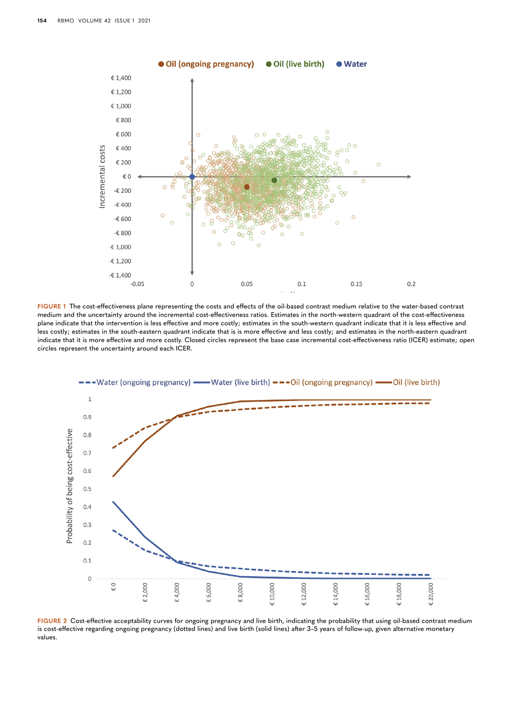

<span id="page-4-0"></span>**FIGURE 1** The cost-effectiveness plane representing the costs and effects of the oil-based contrast medium relative to the water-based contrast medium and the uncertainty around the incremental cost-effectiveness ratios. Estimates in the north-western quadrant of the cost-effectiveness plane indicate that the intervention is less effective and more costly; estimates in the south-western quadrant indicate that it is less effective and less costly; estimates in the south-eastern quadrant indicate that is is more effective and less costly; and estimates in the north-eastern quadrant indicate that it is more effective and more costly. Closed circles represent the base case incremental cost-effectiveness ratio (ICER) estimate; open circles represent the uncertainty around each ICER.



<span id="page-4-1"></span>**FIGURE 2** Cost-effective acceptability curves for ongoing pregnancy and live birth, indicating the probability that using oil-based contrast medium is cost-effective regarding ongoing pregnancy (dotted lines) and live birth (solid lines) after 3–5 years of follow-up, given alternative monetary values.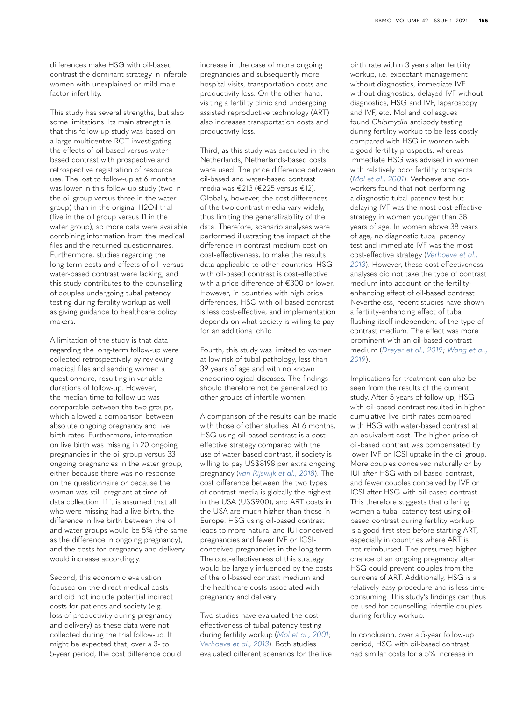differences make HSG with oil-based contrast the dominant strategy in infertile women with unexplained or mild male factor infertility.

This study has several strengths, but also some limitations. Its main strength is that this follow-up study was based on a large multicentre RCT investigating the effects of oil-based versus waterbased contrast with prospective and retrospective registration of resource use. The lost to follow-up at 6 months was lower in this follow-up study (two in the oil group versus three in the water group) than in the original H2Oil trial (five in the oil group versus 11 in the water group), so more data were available combining information from the medical files and the returned questionnaires. Furthermore, studies regarding the long-term costs and effects of oil- versus water-based contrast were lacking, and this study contributes to the counselling of couples undergoing tubal patency testing during fertility workup as well as giving guidance to healthcare policy makers.

A limitation of the study is that data regarding the long-term follow-up were collected retrospectively by reviewing medical files and sending women a questionnaire, resulting in variable durations of follow-up. However, the median time to follow-up was comparable between the two groups, which allowed a comparison between absolute ongoing pregnancy and live birth rates. Furthermore, information on live birth was missing in 20 ongoing pregnancies in the oil group versus 33 ongoing pregnancies in the water group, either because there was no response on the questionnaire or because the woman was still pregnant at time of data collection. If it is assumed that all who were missing had a live birth, the difference in live birth between the oil and water groups would be 5% (the same as the difference in ongoing pregnancy), and the costs for pregnancy and delivery would increase accordingly.

Second, this economic evaluation focused on the direct medical costs and did not include potential indirect costs for patients and society (e.g. loss of productivity during pregnancy and delivery) as these data were not collected during the trial follow-up. It might be expected that, over a 3- to 5-year period, the cost difference could increase in the case of more ongoing pregnancies and subsequently more hospital visits, transportation costs and productivity loss. On the other hand, visiting a fertility clinic and undergoing assisted reproductive technology (ART) also increases transportation costs and productivity loss.

Third, as this study was executed in the Netherlands, Netherlands-based costs were used. The price difference between oil-based and water-based contrast media was €213 (€225 versus €12). Globally, however, the cost differences of the two contrast media vary widely, thus limiting the generalizability of the data. Therefore, scenario analyses were performed illustrating the impact of the difference in contrast medium cost on cost-effectiveness, to make the results data applicable to other countries. HSG with oil-based contrast is cost-effective with a price difference of €300 or lower. However, in countries with high price differences, HSG with oil-based contrast is less cost-effective, and implementation depends on what society is willing to pay for an additional child.

Fourth, this study was limited to women at low risk of tubal pathology, less than 39 years of age and with no known endocrinological diseases. The findings should therefore not be generalized to other groups of infertile women.

A comparison of the results can be made with those of other studies. At 6 months, HSG using oil-based contrast is a costeffective strategy compared with the use of water-based contrast, if society is willing to pay US\$8198 per extra ongoing pregnancy (*[van Rijswijk et al., 2018](#page-7-2)*). The cost difference between the two types of contrast media is globally the highest in the USA (US\$900), and ART costs in the USA are much higher than those in Europe. HSG using oil-based contrast leads to more natural and IUI-conceived pregnancies and fewer IVF or ICSIconceived pregnancies in the long term. The cost-effectiveness of this strategy would be largely influenced by the costs of the oil-based contrast medium and the healthcare costs associated with pregnancy and delivery.

Two studies have evaluated the costeffectiveness of tubal patency testing during fertility workup (*[Mol et al., 2001](#page-6-9)*; *[Verhoeve et al., 2013](#page-7-7)*). Both studies evaluated different scenarios for the live birth rate within 3 years after fertility workup, i.e. expectant management without diagnostics, immediate IVF without diagnostics, delayed IVF without diagnostics, HSG and IVF, laparoscopy and IVF, etc. Mol and colleagues found *Chlamydia* antibody testing during fertility workup to be less costly compared with HSG in women with a good fertility prospects, whereas immediate HSG was advised in women with relatively poor fertility prospects (*[Mol et al., 2001](#page-6-9)*). Verhoeve and coworkers found that not performing a diagnostic tubal patency test but delaying IVF was the most cost-effective strategy in women younger than 38 years of age. In women above 38 years of age, no diagnostic tubal patency test and immediate IVF was the most cost-effective strategy (*[Verhoeve et al.,](#page-7-7)  [2013](#page-7-7)*). However, these cost-effectiveness analyses did not take the type of contrast medium into account or the fertilityenhancing effect of oil-based contrast. Nevertheless, recent studies have shown a fertility-enhancing effect of tubal flushing itself independent of the type of contrast medium. The effect was more prominent with an oil-based contrast medium (*[Dreyer et al., 2019](#page-6-10)*; *[Wang et al.,](#page-7-3)  [2019](#page-7-3)*).

Implications for treatment can also be seen from the results of the current study. After 5 years of follow-up, HSG with oil-based contrast resulted in higher cumulative live birth rates compared with HSG with water-based contrast at an equivalent cost. The higher price of oil-based contrast was compensated by lower IVF or ICSI uptake in the oil group. More couples conceived naturally or by IUI after HSG with oil-based contrast, and fewer couples conceived by IVF or ICSI after HSG with oil-based contrast. This therefore suggests that offering women a tubal patency test using oilbased contrast during fertility workup is a good first step before starting ART, especially in countries where ART is not reimbursed. The presumed higher chance of an ongoing pregnancy after HSG could prevent couples from the burdens of ART. Additionally, HSG is a relatively easy procedure and is less timeconsuming. This study's findings can thus be used for counselling infertile couples during fertility workup.

In conclusion, over a 5-year follow-up period, HSG with oil-based contrast had similar costs for a 5% increase in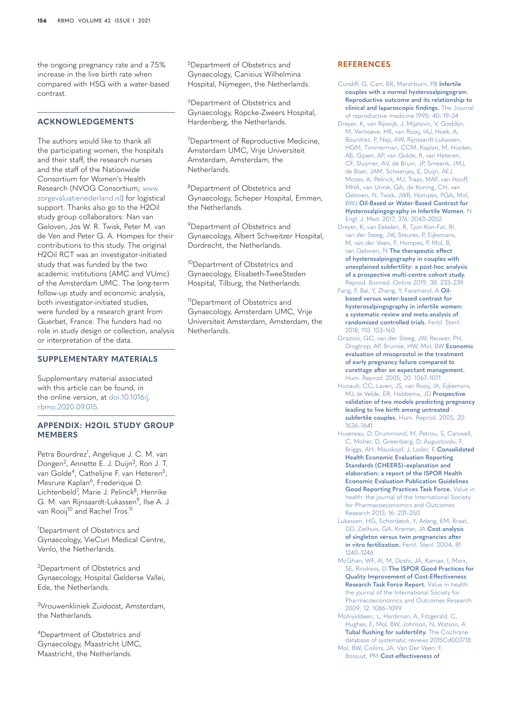the ongoing pregnancy rate and a 7.5% increase in the live birth rate when compared with HSG with a water-based contrast.

#### **ACKNOWLEDGEMENTS**

The authors would like to thank all the participating women, the hospitals and their staff, the research nurses and the staff of the Nationwide Consortium for Women's Health Research (NVOG Consortium; [www.](http://www.zorgevaluatienederland.nl) [zorgevaluatienederland.nl](http://www.zorgevaluatienederland.nl)) for logistical support. Thanks also go to the H2Oil study group collaborators: Nan van Geloven, Jos W. R. Twisk, Peter M. van de Ven and Peter G. A. Hompes for their contributions to this study. The original H2Oil RCT was an investigator-initiated study that was funded by the two academic institutions (AMC and VUmc) of the Amsterdam UMC. The long-term follow-up study and economic analysis, both investigator-initiated studies, were funded by a research grant from Guerbet, France. The funders had no role in study design or collection, analysis or interpretation of the data.

#### **SUPPLEMENTARY MATERIALS**

Supplementary material associated with this article can be found, in the online version, at [doi:10.1016/j.](https://doi.org/10.1016/j.rbmo.2020.09.015) [rbmo.2020.09.015.](https://doi.org/10.1016/j.rbmo.2020.09.015)

#### **APPENDIX: H2OIL STUDY GROUP MEMBERS**

Petra Bourdrez<sup>1</sup>, Angelique J. C. M. van Dongen<sup>2</sup>, Annette E. J. Duijn<sup>3</sup>, Ron J. T. van Golde<sup>4</sup>, Cathelijne F. van Heteren<sup>5</sup>, Mesrure Kaplan<sup>6</sup>, Frederique D. Lichtenbeld<sup>7</sup>, Marie J. Pelinck<sup>8</sup>, Henrike G. M. van Rijnsaardt-Lukassen<sup>9</sup>, Ilse A. J. van Rooij<sup>10</sup> and Rachel Tros.<sup>11</sup>

<sup>1</sup>Department of Obstetrics and Gynaecology, VieCuri Medical Centre, Venlo, the Netherlands.

2Department of Obstetrics and Gynaecology, Hospital Gelderse Vallei, Ede, the Netherlands.

3Vrouwenkliniek Zuidoost, Amsterdam, the Netherlands.

4Department of Obstetrics and Gynaecology, Maastricht UMC, Maastricht, the Netherlands.

5Department of Obstetrics and Gynaecology, Canisius Wilhelmina Hospital, Nijmegen, the Netherlands.

6Department of Obstetrics and Gynaecology, Röpcke-Zweers Hospital, Hardenberg, the Netherlands.

<sup>7</sup>Department of Reproductive Medicine, Amsterdam UMC, Vrije Universiteit Amsterdam, Amsterdam, the Netherlands.

8Department of Obstetrics and Gynaecology, Scheper Hospital, Emmen, the Netherlands.

<sup>9</sup>Department of Obstetrics and Gynaecology, Albert Schweitzer Hospital, Dordrecht, the Netherlands.

<sup>10</sup>Department of Obstetrics and Gynaecology, Elisabeth-TweeSteden Hospital, Tilburg, the Netherlands.

<sup>11</sup>Department of Obstetrics and Gynaecology, Amsterdam UMC, Vrije Universiteit Amsterdam, Amsterdam, the Netherlands.

#### **REFERENCES**

- <span id="page-6-0"></span>[Cundiff, G, Carr, BR, Marshburn, PB](http://refhub.elsevier.com/S1472-6483(20)30520-4/sbref0001) **Infertile [couples with a normal hysterosalpingogram.](http://refhub.elsevier.com/S1472-6483(20)30520-4/sbref0001)  [Reproductive outcome and its relationship to](http://refhub.elsevier.com/S1472-6483(20)30520-4/sbref0001)  [clinical and laparoscopic findings.](http://refhub.elsevier.com/S1472-6483(20)30520-4/sbref0001)** The Journal [of reproductive medicine 1995; 40: 19–24](http://refhub.elsevier.com/S1472-6483(20)30520-4/sbref0001)
- <span id="page-6-2"></span>[Dreyer, K, van Rijswijk, J, Mijatovic, V, Goddijn,](http://refhub.elsevier.com/S1472-6483(20)30520-4/sbref0002)  [M, Verhoeve, HR, van Rooij, IAJ, Hoek, A,](http://refhub.elsevier.com/S1472-6483(20)30520-4/sbref0002)  [Bourdrez, P, Nap, AW, Rijnsaardt-Lukassen,](http://refhub.elsevier.com/S1472-6483(20)30520-4/sbref0002)  [HGM, Timmerman, CCM, Kaplan, M, Hooker,](http://refhub.elsevier.com/S1472-6483(20)30520-4/sbref0002)  [AB, Gijsen, AP, van Golde, R, van Heteren,](http://refhub.elsevier.com/S1472-6483(20)30520-4/sbref0002)  [CF, Sluijmer, AV, de Bruin, JP, Smeenk, JMJ,](http://refhub.elsevier.com/S1472-6483(20)30520-4/sbref0002)  [de Boer, JAM, Scheenjes, E, Duijn, AEJ,](http://refhub.elsevier.com/S1472-6483(20)30520-4/sbref0002)  [Mozes, A, Pelinck, MJ, Traas, MAF, van Hooff,](http://refhub.elsevier.com/S1472-6483(20)30520-4/sbref0002)  [MHA, van Unnik, GA, de Koning, CH, van](http://refhub.elsevier.com/S1472-6483(20)30520-4/sbref0002)  [Geloven, N, Twisk, JWR, Hompes, PGA, Mol,](http://refhub.elsevier.com/S1472-6483(20)30520-4/sbref0002)  BWJ **[Oil-Based or Water-Based Contrast for](http://refhub.elsevier.com/S1472-6483(20)30520-4/sbref0002)  [Hysterosalpingography in Infertile Women.](http://refhub.elsevier.com/S1472-6483(20)30520-4/sbref0002)** N. [Engl. J. Med. 2017; 376: 2043–2052](http://refhub.elsevier.com/S1472-6483(20)30520-4/sbref0002)
- <span id="page-6-10"></span>[Dreyer, K, van Eekelen, R, Tjon-Kon-Fat, RI,](http://refhub.elsevier.com/S1472-6483(20)30520-4/sbref0003)  [van der Steeg, JW, Steures, P, Eijkemans,](http://refhub.elsevier.com/S1472-6483(20)30520-4/sbref0003)  [M, van der Veen, F, Hompes, P, Mol, B,](http://refhub.elsevier.com/S1472-6483(20)30520-4/sbref0003)  van Geloven, N **[The therapeutic effect](http://refhub.elsevier.com/S1472-6483(20)30520-4/sbref0003)  [of hysterosalpingography in couples with](http://refhub.elsevier.com/S1472-6483(20)30520-4/sbref0003)  [unexplained subfertility: a post-hoc analysis](http://refhub.elsevier.com/S1472-6483(20)30520-4/sbref0003)  [of a prospective multi-centre cohort study.](http://refhub.elsevier.com/S1472-6483(20)30520-4/sbref0003)** [Reprod. Biomed. Online 2019; 38: 233–239](http://refhub.elsevier.com/S1472-6483(20)30520-4/sbref0003)
- <span id="page-6-3"></span>[Fang, F, Bai, Y, Zhang, Y, Faramand, A](http://refhub.elsevier.com/S1472-6483(20)30520-4/sbref0004) **Oil[based versus water-based contrast for](http://refhub.elsevier.com/S1472-6483(20)30520-4/sbref0004)  [hysterosalpingography in infertile women:](http://refhub.elsevier.com/S1472-6483(20)30520-4/sbref0004)  [a systematic review and meta-analysis of](http://refhub.elsevier.com/S1472-6483(20)30520-4/sbref0004)  [randomized controlled trials.](http://refhub.elsevier.com/S1472-6483(20)30520-4/sbref0004)** Fertil. Steril. [2018; 110: 153–160](http://refhub.elsevier.com/S1472-6483(20)30520-4/sbref0004)
- <span id="page-6-7"></span>[Graziosi, GC, van der Steeg, JW, Reuwer, PH,](http://refhub.elsevier.com/S1472-6483(20)30520-4/sbref0005)  [Drogtrop, AP, Bruinse, HW, Mol, BW](http://refhub.elsevier.com/S1472-6483(20)30520-4/sbref0005) **Economic [evaluation of misoprostol in the treatment](http://refhub.elsevier.com/S1472-6483(20)30520-4/sbref0005)  [of early pregnancy failure compared to](http://refhub.elsevier.com/S1472-6483(20)30520-4/sbref0005)  [curettage after an expectant management.](http://refhub.elsevier.com/S1472-6483(20)30520-4/sbref0005)** [Hum. Reprod. 2005; 20: 1067–1071](http://refhub.elsevier.com/S1472-6483(20)30520-4/sbref0005)
- <span id="page-6-4"></span>[Hunault, CC, Laven, JS, van Rooij, IA, Eijkemans,](http://refhub.elsevier.com/S1472-6483(20)30520-4/sbref0006)  [MJ, te Velde, ER, Habbema, JD](http://refhub.elsevier.com/S1472-6483(20)30520-4/sbref0006) **Prospective [validation of two models predicting pregnancy](http://refhub.elsevier.com/S1472-6483(20)30520-4/sbref0006)  [leading to live birth among untreated](http://refhub.elsevier.com/S1472-6483(20)30520-4/sbref0006)  subfertile couples.** [Hum. Reprod. 2005; 20:](http://refhub.elsevier.com/S1472-6483(20)30520-4/sbref0006)  [1636–1641](http://refhub.elsevier.com/S1472-6483(20)30520-4/sbref0006)
- <span id="page-6-6"></span>[Husereau, D, Drummond, M, Petrou, S, Carswell,](http://refhub.elsevier.com/S1472-6483(20)30520-4/sbref0007)  [C, Moher, D, Greenberg, D, Augustovski, F,](http://refhub.elsevier.com/S1472-6483(20)30520-4/sbref0007)  [Briggs, AH, Mauskopf, J, Loder, E](http://refhub.elsevier.com/S1472-6483(20)30520-4/sbref0007) **Consolidated [Health Economic Evaluation Reporting](http://refhub.elsevier.com/S1472-6483(20)30520-4/sbref0007)  [Standards \(CHEERS\)–explanation and](http://refhub.elsevier.com/S1472-6483(20)30520-4/sbref0007)  [elaboration: a report of the ISPOR Health](http://refhub.elsevier.com/S1472-6483(20)30520-4/sbref0007)  [Economic Evaluation Publication Guidelines](http://refhub.elsevier.com/S1472-6483(20)30520-4/sbref0007)  [Good Reporting Practices Task Force.](http://refhub.elsevier.com/S1472-6483(20)30520-4/sbref0007)** Value in [health: the journal of the International Society](http://refhub.elsevier.com/S1472-6483(20)30520-4/sbref0007)  [for Pharmacoeconomics and Outcomes](http://refhub.elsevier.com/S1472-6483(20)30520-4/sbref0007)  [Research 2013; 16: 231–250](http://refhub.elsevier.com/S1472-6483(20)30520-4/sbref0007)
- <span id="page-6-8"></span>[Lukassen, HG, Schonbeck, Y, Adang, EM, Braat,](http://refhub.elsevier.com/S1472-6483(20)30520-4/sbref0008)  [DD, Zielhuis, GA, Kremer, JA](http://refhub.elsevier.com/S1472-6483(20)30520-4/sbref0008) **Cost analysis [of singleton versus twin pregnancies after](http://refhub.elsevier.com/S1472-6483(20)30520-4/sbref0008)  in vitro fertilization.** [Fertil. Steril. 2004; 81:](http://refhub.elsevier.com/S1472-6483(20)30520-4/sbref0008)  [1240–1246](http://refhub.elsevier.com/S1472-6483(20)30520-4/sbref0008)
- <span id="page-6-5"></span>[McGhan, WF, Al, M, Doshi, JA, Kamae, I, Marx,](http://refhub.elsevier.com/S1472-6483(20)30520-4/sbref0009)  SE, Rindress, D **[The ISPOR Good Practices for](http://refhub.elsevier.com/S1472-6483(20)30520-4/sbref0009)  [Quality Improvement of Cost-Effectiveness](http://refhub.elsevier.com/S1472-6483(20)30520-4/sbref0009)  [Research Task Force Report.](http://refhub.elsevier.com/S1472-6483(20)30520-4/sbref0009)** Value in health: [the journal of the International Society for](http://refhub.elsevier.com/S1472-6483(20)30520-4/sbref0009)  [Pharmacoeconomics and Outcomes Research](http://refhub.elsevier.com/S1472-6483(20)30520-4/sbref0009)  [2009; 12: 1086–1099](http://refhub.elsevier.com/S1472-6483(20)30520-4/sbref0009)
- <span id="page-6-1"></span>[Mohiyiddeen, L, Hardiman, A, Fitzgerald, C,](http://refhub.elsevier.com/S1472-6483(20)30520-4/sbref0010)  [Hughes, E, Mol, BW, Johnson, N, Watson, A](http://refhub.elsevier.com/S1472-6483(20)30520-4/sbref0010) **[Tubal flushing for subfertility.](http://refhub.elsevier.com/S1472-6483(20)30520-4/sbref0010)** The Cochrane [database of systematic reviews 2015Cd003718](http://refhub.elsevier.com/S1472-6483(20)30520-4/sbref0010) [Mol, BW, Collins, JA, Van Der Veen, F,](http://refhub.elsevier.com/S1472-6483(20)30520-4/sbref0011)
- <span id="page-6-9"></span>Bossuyt, PM **[Cost-effectiveness of](http://refhub.elsevier.com/S1472-6483(20)30520-4/sbref0011)**